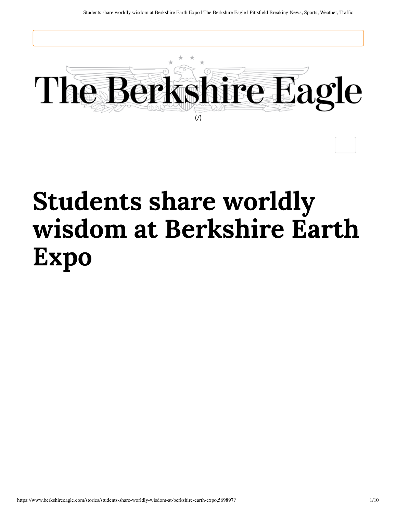

## **Students share worldly wisdom at Berkshire Earth Expo**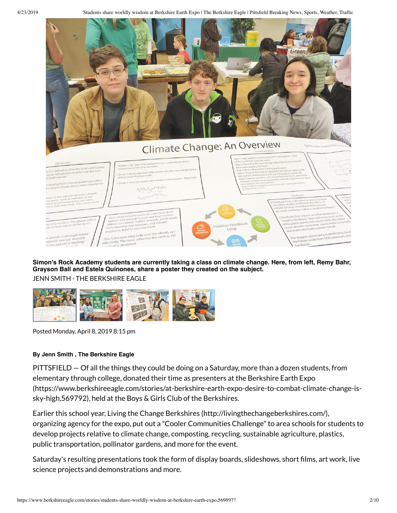4/23/2019 Students share worldly wisdom at Berkshire Earth Expo | The Berkshire Eagle | Pittsfield Breaking News, Sports, Weather, Traffic



## **Simon's Rock Academy students are currently taking a class on climate change. Here, from left, Remy Bahr, Grayson Ball and Estela Quinones, share a poster they created on the subject.**

JENN SMITH - THE BERKSHIRE EAGLE



Posted Monday, April 8, 2019 8:15 pm

## **By Jenn Smith , The Berkshire Eagle**

PITTSFIELD — Of all the things they could be doing on a Saturday, more than a dozen students, from elementary through college, donated their time as presenters at the Berkshire Earth Expo (https://www.berkshireeagle.com/stories/at-berkshire-earth-expo-desire-to-combat-climate-change-issky-high,569792), held at the Boys & Girls Club of the Berkshires.

Earlier this school year, Living the Change Berkshires (http://livingthechangeberkshires.com/), organizing agency for the expo, put out a "Cooler Communities Challenge" to area schools for students to develop projects relative to climate change, composting, recycling, sustainable agriculture, plastics, public transportation, pollinator gardens, and more for the event.

Saturday's resulting presentations took the form of display boards, slideshows, short films, art work, live science projects and demonstrations and more.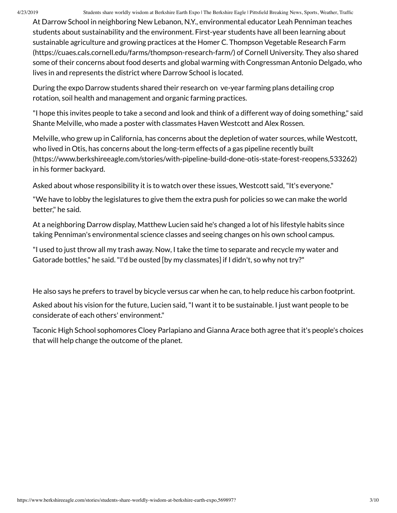4/23/2019 Students share worldly wisdom at Berkshire Earth Expo | The Berkshire Eagle | Pittsfield Breaking News, Sports, Weather, Traffic

At Darrow School in neighboring New Lebanon, N.Y., environmental educator Leah Penniman teaches students about sustainability and the environment. First-year students have all been learning about sustainable agriculture and growing practices at the Homer C. Thompson Vegetable Research Farm (https://cuaes.cals.cornell.edu/farms/thompson-research-farm/) of Cornell University. They also shared some of their concerns about food deserts and global warming with Congressman Antonio Delgado, who lives in and represents the district where Darrow School is located.

During the expo Darrow students shared their research on ve-year farming plans detailing crop rotation, soil health and management and organic farming practices.

"I hope this invites people to take a second and look and think of a different way of doing something," said Shante Melville, who made a poster with classmates Haven Westcott and Alex Rossen.

Melville, who grew up in California, has concerns about the depletion of water sources, while Westcott, who lived in Otis, has concerns about the long-term effects of a gas pipeline recently built (https://www.berkshireeagle.com/stories/with-pipeline-build-done-otis-state-forest-reopens,533262) in his former backyard.

Asked about whose responsibility it is to watch over these issues, Westcott said, "It's everyone."

"We have to lobby the legislatures to give them the extra push for policies so we can make the world better," he said.

At a neighboring Darrow display, Matthew Lucien said he's changed a lot of his lifestyle habits since taking Penniman's environmental science classes and seeing changes on his own school campus.

"I used to just throw all my trash away. Now, I take the time to separate and recycle my water and Gatorade bottles," he said. "I'd be ousted [by my classmates] if I didn't, so why not try?"

He also says he prefers to travel by bicycle versus car when he can, to help reduce his carbon footprint.

Asked about his vision for the future, Lucien said, "I want it to be sustainable. I just want people to be considerate of each others' environment."

Taconic High School sophomores Cloey Parlapiano and Gianna Arace both agree that it's people's choices that will help change the outcome of the planet.